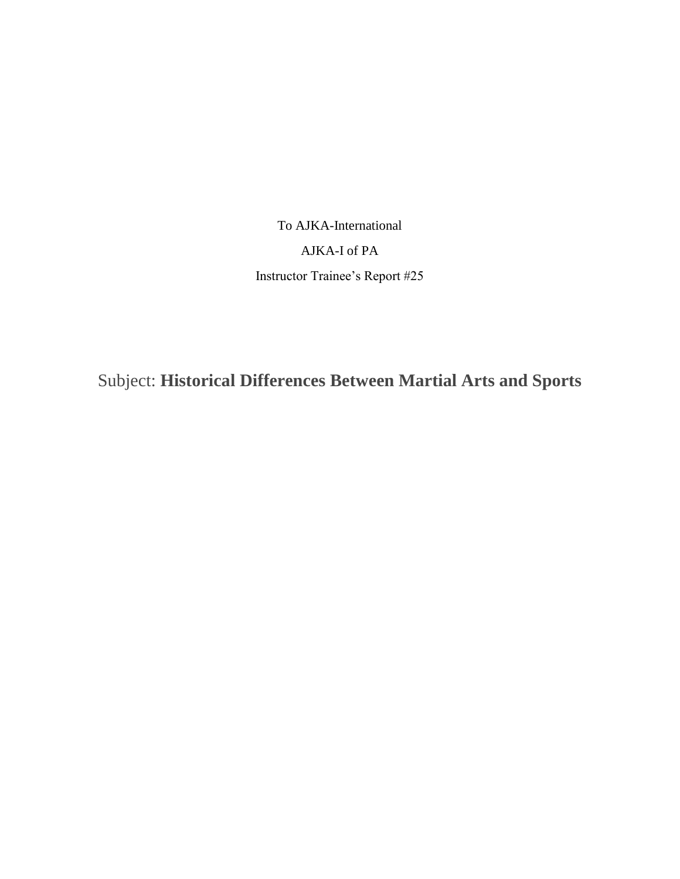To AJKA-International AJKA-I of PA Instructor Trainee's Report #25

Subject: **Historical Differences Between Martial Arts and Sports**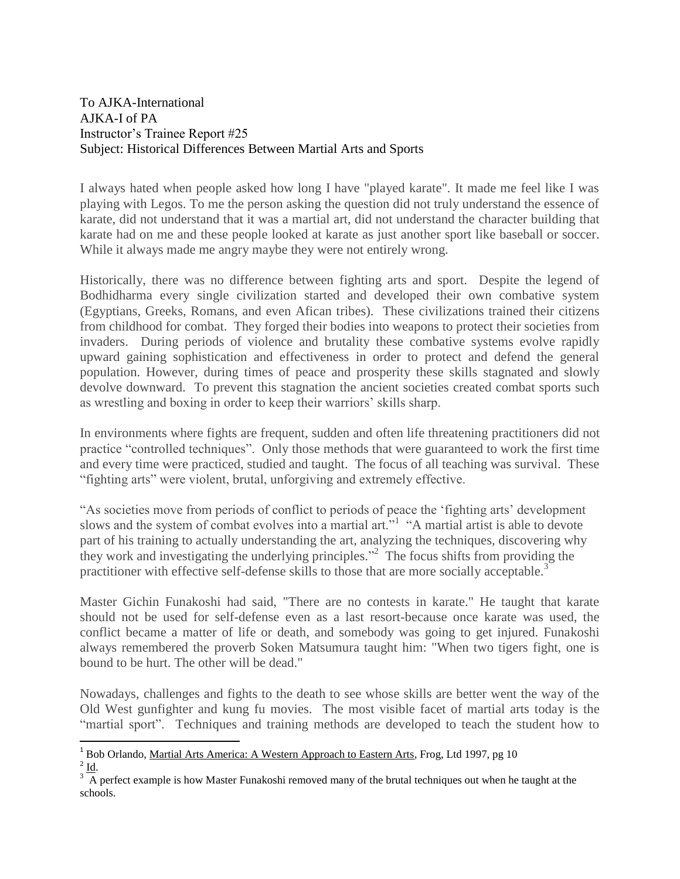## To AJKA-International AJKA-I of PA Instructor's Trainee Report #25 Subject: Historical Differences Between Martial Arts and Sports

I always hated when people asked how long I have "played karate". It made me feel like I was playing with Legos. To me the person asking the question did not truly understand the essence of karate, did not understand that it was a martial art, did not understand the character building that karate had on me and these people looked at karate as just another sport like baseball or soccer. While it always made me angry maybe they were not entirely wrong.

Historically, there was no difference between fighting arts and sport. Despite the legend of Bodhidharma every single civilization started and developed their own combative system (Egyptians, Greeks, Romans, and even Afican tribes). These civilizations trained their citizens from childhood for combat. They forged their bodies into weapons to protect their societies from invaders. During periods of violence and brutality these combative systems evolve rapidly upward gaining sophistication and effectiveness in order to protect and defend the general population. However, during times of peace and prosperity these skills stagnated and slowly devolve downward. To prevent this stagnation the ancient societies created combat sports such as wrestling and boxing in order to keep their warriors' skills sharp.

In environments where fights are frequent, sudden and often life threatening practitioners did not practice "controlled techniques". Only those methods that were guaranteed to work the first time and every time were practiced, studied and taught. The focus of all teaching was survival. These "fighting arts" were violent, brutal, unforgiving and extremely effective.

"As societies move from periods of conflict to periods of peace the 'fighting arts' development slows and the system of combat evolves into a martial art.<sup>"1</sup> "A martial artist is able to devote part of his training to actually understanding the art, analyzing the techniques, discovering why they work and investigating the underlying principles."<sup>2</sup> The focus shifts from providing the practitioner with effective self-defense skills to those that are more socially acceptable.<sup>3</sup>

Master Gichin Funakoshi had said, "There are no contests in karate." He taught that karate should not be used for self-defense even as a last resort-because once karate was used, the conflict became a matter of life or death, and somebody was going to get injured. Funakoshi always remembered the proverb Soken Matsumura taught him: "When two tigers fight, one is bound to be hurt. The other will be dead."

Nowadays, challenges and fights to the death to see whose skills are better went the way of the Old West gunfighter and kung fu movies. The most visible facet of martial arts today is the "martial sport". Techniques and training methods are developed to teach the student how to

 $\overline{\phantom{a}}$ 

<sup>&</sup>lt;sup>1</sup> Bob Orlando, Martial Arts America: A Western Approach to Eastern Arts, Frog, Ltd 1997, pg 10  $^{2}$  <u>Id</u>.

 $3\frac{100}{\text{A}}$  perfect example is how Master Funakoshi removed many of the brutal techniques out when he taught at the schools.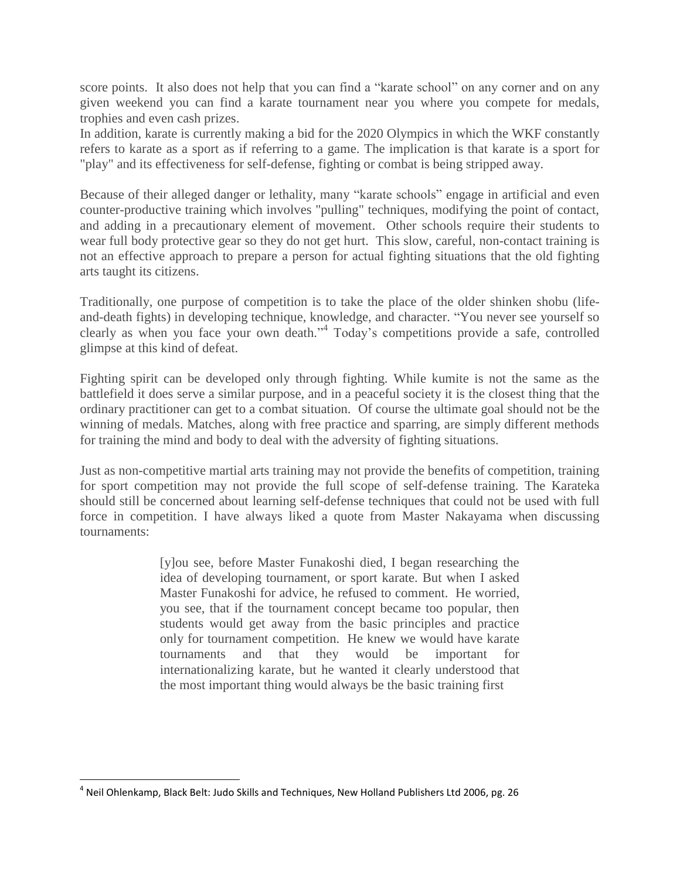score points. It also does not help that you can find a "karate school" on any corner and on any given weekend you can find a karate tournament near you where you compete for medals, trophies and even cash prizes.

In addition, karate is currently making a bid for the 2020 Olympics in which the WKF constantly refers to karate as a sport as if referring to a game. The implication is that karate is a sport for "play" and its effectiveness for self-defense, fighting or combat is being stripped away.

Because of their alleged danger or lethality, many "karate schools" engage in artificial and even counter-productive training which involves "pulling" techniques, modifying the point of contact, and adding in a precautionary element of movement. Other schools require their students to wear full body protective gear so they do not get hurt. This slow, careful, non-contact training is not an effective approach to prepare a person for actual fighting situations that the old fighting arts taught its citizens.

Traditionally, one purpose of competition is to take the place of the older shinken shobu (lifeand-death fights) in developing technique, knowledge, and character. "You never see yourself so clearly as when you face your own death." 4 Today's competitions provide a safe, controlled glimpse at this kind of defeat.

Fighting spirit can be developed only through fighting. While kumite is not the same as the battlefield it does serve a similar purpose, and in a peaceful society it is the closest thing that the ordinary practitioner can get to a combat situation. Of course the ultimate goal should not be the winning of medals. Matches, along with free practice and sparring, are simply different methods for training the mind and body to deal with the adversity of fighting situations.

Just as non-competitive martial arts training may not provide the benefits of competition, training for sport competition may not provide the full scope of self-defense training. The Karateka should still be concerned about learning self-defense techniques that could not be used with full force in competition. I have always liked a quote from Master Nakayama when discussing tournaments:

> [y]ou see, before Master Funakoshi died, I began researching the idea of developing tournament, or sport karate. But when I asked Master Funakoshi for advice, he refused to comment. He worried, you see, that if the tournament concept became too popular, then students would get away from the basic principles and practice only for tournament competition. He knew we would have karate tournaments and that they would be important for internationalizing karate, but he wanted it clearly understood that the most important thing would always be the basic training first

 $\overline{\phantom{a}}$ 

<sup>&</sup>lt;sup>4</sup> Neil Ohlenkamp, Black Belt: Judo Skills and Techniques, New Holland Publishers Ltd 2006, pg. 26